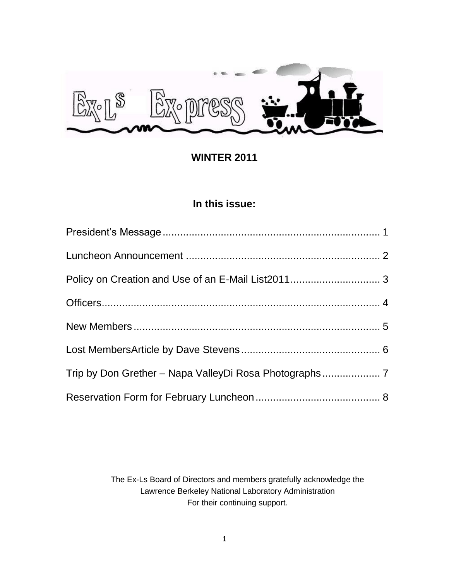

**WINTER 2011**

# **In this issue:**

The Ex-Ls Board of Directors and members gratefully acknowledge the Lawrence Berkeley National Laboratory Administration For their continuing support.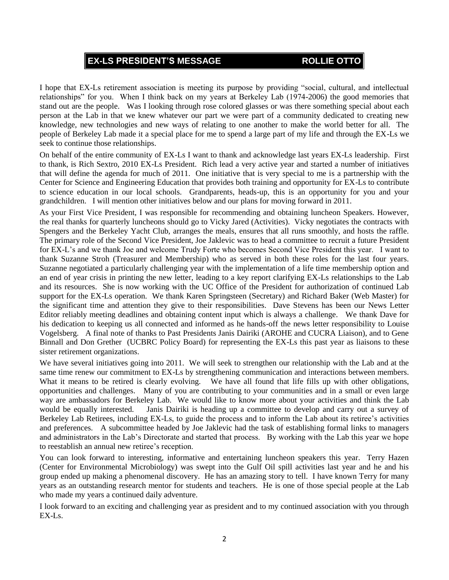# **EX-LS PRESIDENT'S MESSAGE ROLLIE OTTO**

I hope that EX-Ls retirement association is meeting its purpose by providing "social, cultural, and intellectual relationships" for you. When I think back on my years at Berkeley Lab (1974-2006) the good memories that stand out are the people. Was I looking through rose colored glasses or was there something special about each person at the Lab in that we knew whatever our part we were part of a community dedicated to creating new knowledge, new technologies and new ways of relating to one another to make the world better for all. The people of Berkeley Lab made it a special place for me to spend a large part of my life and through the EX-Ls we seek to continue those relationships.

On behalf of the entire community of EX-Ls I want to thank and acknowledge last years EX-Ls leadership. First to thank, is Rich Sextro, 2010 EX-Ls President. Rich lead a very active year and started a number of initiatives that will define the agenda for much of 2011. One initiative that is very special to me is a partnership with the Center for Science and Engineering Education that provides both training and opportunity for EX-Ls to contribute to science education in our local schools. Grandparents, heads-up, this is an opportunity for you and your grandchildren. I will mention other initiatives below and our plans for moving forward in 2011.

As your First Vice President, I was responsible for recommending and obtaining luncheon Speakers. However, the real thanks for quarterly luncheons should go to Vicky Jared (Activities). Vicky negotiates the contracts with Spengers and the Berkeley Yacht Club, arranges the meals, ensures that all runs smoothly, and hosts the raffle. The primary role of the Second Vice President, Joe Jaklevic was to head a committee to recruit a future President for EX-L's and we thank Joe and welcome Trudy Forte who becomes Second Vice President this year. I want to thank Suzanne Stroh (Treasurer and Membership) who as served in both these roles for the last four years. Suzanne negotiated a particularly challenging year with the implementation of a life time membership option and an end of year crisis in printing the new letter, leading to a key report clarifying EX-Ls relationships to the Lab and its resources. She is now working with the UC Office of the President for authorization of continued Lab support for the EX-Ls operation. We thank Karen Springsteen (Secretary) and Richard Baker (Web Master) for the significant time and attention they give to their responsibilities. Dave Stevens has been our News Letter Editor reliably meeting deadlines and obtaining content input which is always a challenge. We thank Dave for his dedication to keeping us all connected and informed as he hands-off the news letter responsibility to Louise Vogelsberg. A final note of thanks to Past Presidents Janis Dairiki (AROHE and CUCRA Liaison), and to Gene Binnall and Don Grether (UCBRC Policy Board) for representing the EX-Ls this past year as liaisons to these sister retirement organizations.

We have several initiatives going into 2011. We will seek to strengthen our relationship with the Lab and at the same time renew our commitment to EX-Ls by strengthening communication and interactions between members. What it means to be retired is clearly evolving. We have all found that life fills up with other obligations, opportunities and challenges. Many of you are contributing to your communities and in a small or even large way are ambassadors for Berkeley Lab. We would like to know more about your activities and think the Lab would be equally interested. Janis Dairiki is heading up a committee to develop and carry out a survey of Berkeley Lab Retirees, including EX-Ls, to guide the process and to inform the Lab about its retiree's activities and preferences. A subcommittee headed by Joe Jaklevic had the task of establishing formal links to managers and administrators in the Lab's Directorate and started that process. By working with the Lab this year we hope to reestablish an annual new retiree's reception.

You can look forward to interesting, informative and entertaining luncheon speakers this year. Terry Hazen (Center for Environmental Microbiology) was swept into the Gulf Oil spill activities last year and he and his group ended up making a phenomenal discovery. He has an amazing story to tell. I have known Terry for many years as an outstanding research mentor for students and teachers. He is one of those special people at the Lab who made my years a continued daily adventure.

I look forward to an exciting and challenging year as president and to my continued association with you through EX-Ls.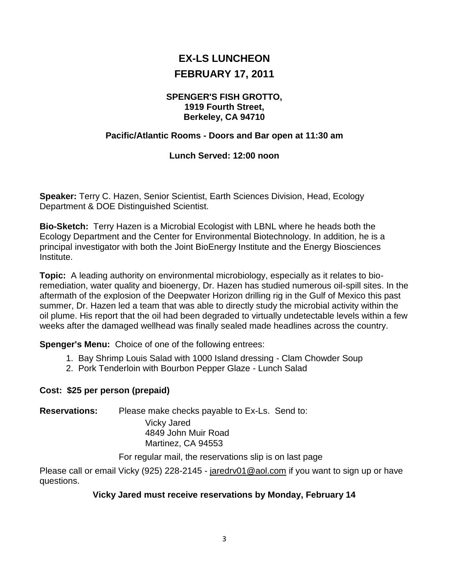# **EX-LS LUNCHEON FEBRUARY 17, 2011**

### **SPENGER'S FISH GROTTO, 1919 Fourth Street, Berkeley, CA 94710**

# **Pacific/Atlantic Rooms - Doors and Bar open at 11:30 am**

# **Lunch Served: 12:00 noon**

**Speaker:** Terry C. Hazen, Senior Scientist, Earth Sciences Division, Head, Ecology Department & DOE Distinguished Scientist.

**Bio-Sketch:** Terry Hazen is a Microbial Ecologist with LBNL where he heads both the Ecology Department and the Center for Environmental Biotechnology. In addition, he is a principal investigator with both the Joint BioEnergy Institute and the Energy Biosciences Institute.

**Topic:** A leading authority on environmental microbiology, especially as it relates to bioremediation, water quality and bioenergy, Dr. Hazen has studied numerous oil-spill sites. In the aftermath of the explosion of the Deepwater Horizon drilling rig in the Gulf of Mexico this past summer, Dr. Hazen led a team that was able to directly study the microbial activity within the oil plume. His report that the oil had been degraded to virtually undetectable levels within a few weeks after the damaged wellhead was finally sealed made headlines across the country.

**Spenger's Menu:** Choice of one of the following entrees:

- 1. Bay Shrimp Louis Salad with 1000 Island dressing Clam Chowder Soup
- 2. Pork Tenderloin with Bourbon Pepper Glaze Lunch Salad

# **Cost: \$25 per person (prepaid)**

**Reservations:** Please make checks payable to Ex-Ls. Send to:

Vicky Jared 4849 John Muir Road Martinez, CA 94553

For regular mail, the reservations slip is on last page

Please call or email Vicky (925) 228-2145 - [jaredrv01@aol.com](mailto:jaredrv01@aol.com) if you want to sign up or have questions.

# **Vicky Jared must receive reservations by Monday, February 14**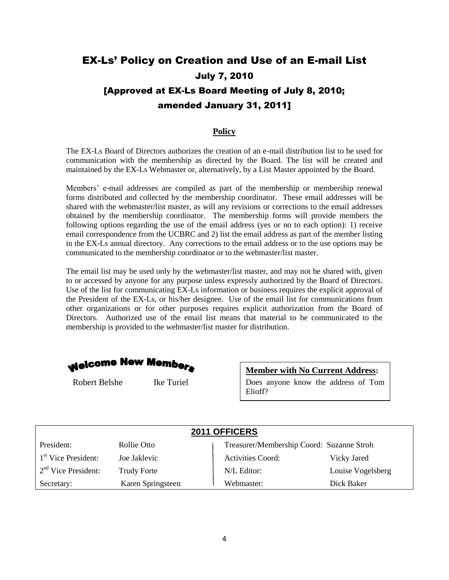# EX-Ls' Policy on Creation and Use of an E-mail List July 7, 2010 [Approved at EX-Ls Board Meeting of July 8, 2010; amended January 31, 2011]

### **Policy**

The EX-Ls Board of Directors authorizes the creation of an e-mail distribution list to be used for communication with the membership as directed by the Board. The list will be created and maintained by the EX-Ls Webmaster or, alternatively, by a List Master appointed by the Board.

Members' e-mail addresses are compiled as part of the membership or membership renewal forms distributed and collected by the membership coordinator. These email addresses will be shared with the webmaster/list master, as will any revisions or corrections to the email addresses obtained by the membership coordinator. The membership forms will provide members the following options regarding the use of the email address (yes or no to each option): 1) receive email correspondence from the UCBRC and 2) list the email address as part of the member listing in the EX-Ls annual directory. Any corrections to the email address or to the use options may be communicated to the membership coordinator or to the webmaster/list master.

The email list may be used only by the webmaster/list master, and may not be shared with, given to or accessed by anyone for any purpose unless expressly authorized by the Board of Directors. Use of the list for communicating EX-Ls information or business requires the explicit approval of the President of the EX-Ls, or his/her designee. Use of the email list for communications from other organizations or for other purposes requires explicit authorization from the Board of Directors. Authorized use of the email list means that material to be communicated to the membership is provided to the webmaster/list master for distribution.



Robert Belshe Ike Turiel

**Member with No Current Address:**

Does anyone know the address of Tom Elioff?

| 2011 OFFICERS         |                    |                                           |                   |  |  |
|-----------------------|--------------------|-------------------------------------------|-------------------|--|--|
| President:            | Rollie Otto        | Treasurer/Membership Coord: Suzanne Stroh |                   |  |  |
| $1st$ Vice President: | Joe Jaklevic       | <b>Activities Coord:</b>                  | Vicky Jared       |  |  |
| $2nd$ Vice President: | <b>Trudy Forte</b> | N/L Editor:                               | Louise Vogelsberg |  |  |
| Secretary:            | Karen Springsteen  | Webmaster:                                | Dick Baker        |  |  |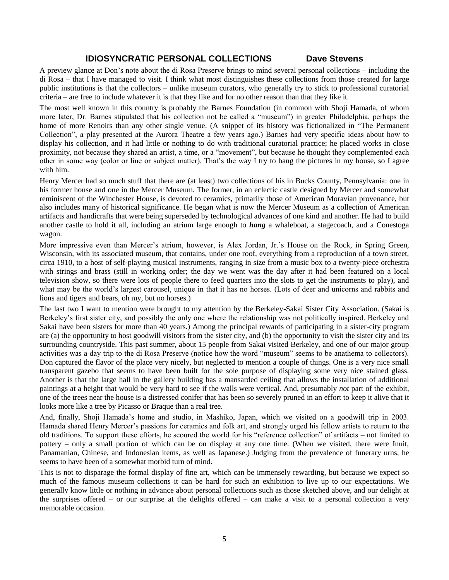### **IDIOSYNCRATIC PERSONAL COLLECTIONS Dave Stevens**

A preview glance at Don's note about the di Rosa Preserve brings to mind several personal collections – including the di Rosa – that I have managed to visit. I think what most distinguishes these collections from those created for large public institutions is that the collectors – unlike museum curators, who generally try to stick to professional curatorial criteria – are free to include whatever it is that they like and for no other reason than that they like it.

The most well known in this country is probably the Barnes Foundation (in common with Shoji Hamada, of whom more later, Dr. Barnes stipulated that his collection not be called a "museum") in greater Philadelphia, perhaps the home of more Renoirs than any other single venue. (A snippet of its history was fictionalized in "The Permanent Collection", a play presented at the Aurora Theatre a few years ago.) Barnes had very specific ideas about how to display his collection, and it had little or nothing to do with traditional curatorial practice; he placed works in close proximity, not because they shared an artist, a time, or a "movement", but because he thought they complemented each other in some way (color or line or subject matter). That's the way I try to hang the pictures in my house, so I agree with him.

Henry Mercer had so much stuff that there are (at least) two collections of his in Bucks County, Pennsylvania: one in his former house and one in the Mercer Museum. The former, in an eclectic castle designed by Mercer and somewhat reminiscent of the Winchester House, is devoted to ceramics, primarily those of American Moravian provenance, but also includes many of historical significance. He began what is now the Mercer Museum as a collection of American artifacts and handicrafts that were being superseded by technological advances of one kind and another. He had to build another castle to hold it all, including an atrium large enough to *hang* a whaleboat, a stagecoach, and a Conestoga wagon.

More impressive even than Mercer's atrium, however, is Alex Jordan, Jr.'s House on the Rock, in Spring Green, Wisconsin, with its associated museum, that contains, under one roof, everything from a reproduction of a town street, circa 1910, to a host of self-playing musical instruments, ranging in size from a music box to a twenty-piece orchestra with strings and brass (still in working order; the day we went was the day after it had been featured on a local television show, so there were lots of people there to feed quarters into the slots to get the instruments to play), and what may be the world's largest carousel, unique in that it has no horses. (Lots of deer and unicorns and rabbits and lions and tigers and bears, oh my, but no horses.)

The last two I want to mention were brought to my attention by the Berkeley-Sakai Sister City Association. (Sakai is Berkeley's first sister city, and possibly the only one where the relationship was not politically inspired. Berkeley and Sakai have been sisters for more than 40 years.) Among the principal rewards of participating in a sister-city program are (a) the opportunity to host goodwill visitors from the sister city, and (b) the opportunity to visit the sister city and its surrounding countryside. This past summer, about 15 people from Sakai visited Berkeley, and one of our major group activities was a day trip to the di Rosa Preserve (notice how the word "museum" seems to be anathema to collectors). Don captured the flavor of the place very nicely, but neglected to mention a couple of things. One is a very nice small transparent gazebo that seems to have been built for the sole purpose of displaying some very nice stained glass. Another is that the large hall in the gallery building has a mansarded ceiling that allows the installation of additional paintings at a height that would be very hard to see if the walls were vertical. And, presumably *not* part of the exhibit, one of the trees near the house is a distressed conifer that has been so severely pruned in an effort to keep it alive that it looks more like a tree by Picasso or Braque than a real tree.

And, finally, Shoji Hamada's home and studio, in Mashiko, Japan, which we visited on a goodwill trip in 2003. Hamada shared Henry Mercer's passions for ceramics and folk art, and strongly urged his fellow artists to return to the old traditions. To support these efforts, he scoured the world for his "reference collection" of artifacts – not limited to pottery – only a small portion of which can be on display at any one time. (When we visited, there were Inuit, Panamanian, Chinese, and Indonesian items, as well as Japanese.) Judging from the prevalence of funerary urns, he seems to have been of a somewhat morbid turn of mind.

This is not to disparage the formal display of fine art, which can be immensely rewarding, but because we expect so much of the famous museum collections it can be hard for such an exhibition to live up to our expectations. We generally know little or nothing in advance about personal collections such as those sketched above, and our delight at the surprises offered – or our surprise at the delights offered – can make a visit to a personal collection a very memorable occasion.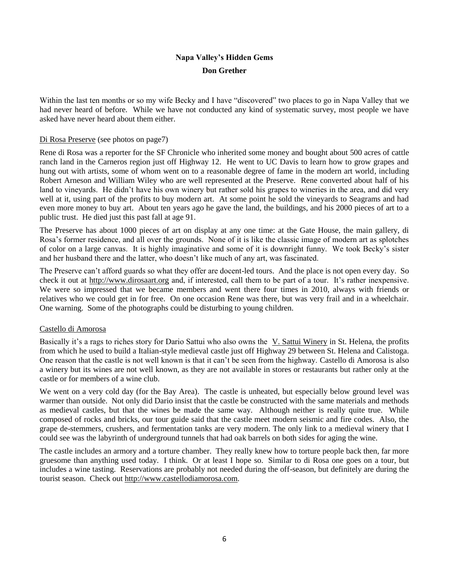# **Napa Valley's Hidden Gems Don Grether**

Within the last ten months or so my wife Becky and I have "discovered" two places to go in Napa Valley that we had never heard of before. While we have not conducted any kind of systematic survey, most people we have asked have never heard about them either.

#### Di Rosa Preserve (see photos on page7)

Rene di Rosa was a reporter for the SF Chronicle who inherited some money and bought about 500 acres of cattle ranch land in the Carneros region just off Highway 12. He went to UC Davis to learn how to grow grapes and hung out with artists, some of whom went on to a reasonable degree of fame in the modern art world, including Robert Arneson and William Wiley who are well represented at the Preserve. Rene converted about half of his land to vineyards. He didn't have his own winery but rather sold his grapes to wineries in the area, and did very well at it, using part of the profits to buy modern art. At some point he sold the vineyards to Seagrams and had even more money to buy art. About ten years ago he gave the land, the buildings, and his 2000 pieces of art to a public trust. He died just this past fall at age 91.

The Preserve has about 1000 pieces of art on display at any one time: at the Gate House, the main gallery, di Rosa's former residence, and all over the grounds. None of it is like the classic image of modern art as splotches of color on a large canvas. It is highly imaginative and some of it is downright funny. We took Becky's sister and her husband there and the latter, who doesn't like much of any art, was fascinated.

The Preserve can't afford guards so what they offer are docent-led tours. And the place is not open every day. So check it out at [http://www.dirosaart.org](http://www.dirosaart.org/) and, if interested, call them to be part of a tour. It's rather inexpensive. We were so impressed that we became members and went there four times in 2010, always with friends or relatives who we could get in for free. On one occasion Rene was there, but was very frail and in a wheelchair. One warning. Some of the photographs could be disturbing to young children.

#### Castello di Amorosa

Basically it's a rags to riches story for Dario Sattui who also owns the [V. Sattui Winery](http://napavalley.com/cgi-bin/new_mont_frame.cgi?return=www.napavalley.com/wineries/alphalistings.html&target=www.vsattui.com) in St. Helena, the profits from which he used to build a Italian-style medieval castle just off Highway 29 between St. Helena and Calistoga. One reason that the castle is not well known is that it can't be seen from the highway. Castello di Amorosa is also a winery but its wines are not well known, as they are not available in stores or restaurants but rather only at the castle or for members of a wine club.

We went on a very cold day (for the Bay Area). The castle is unheated, but especially below ground level was warmer than outside. Not only did Dario insist that the castle be constructed with the same materials and methods as medieval castles, but that the wines be made the same way. Although neither is really quite true. While composed of rocks and bricks, our tour guide said that the castle meet modern seismic and fire codes. Also, the grape de-stemmers, crushers, and fermentation tanks are very modern. The only link to a medieval winery that I could see was the labyrinth of underground tunnels that had oak barrels on both sides for aging the wine.

The castle includes an armory and a torture chamber. They really knew how to torture people back then, far more gruesome than anything used today. I think. Or at least I hope so. Similar to di Rosa one goes on a tour, but includes a wine tasting. Reservations are probably not needed during the off-season, but definitely are during the tourist season. Check out [http://www.castellodiamorosa.com.](http://www.castellodiamorosa.com/)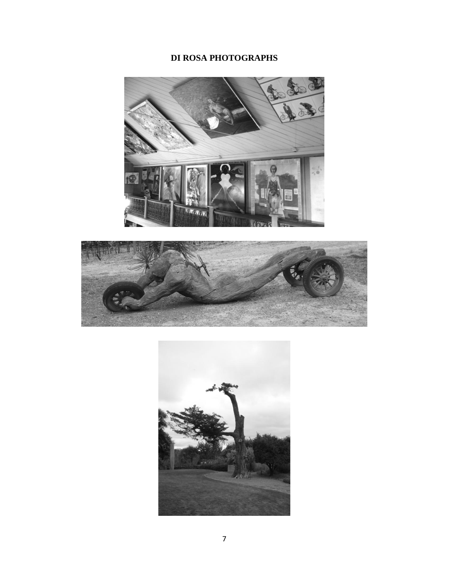# **DI ROSA PHOTOGRAPHS**